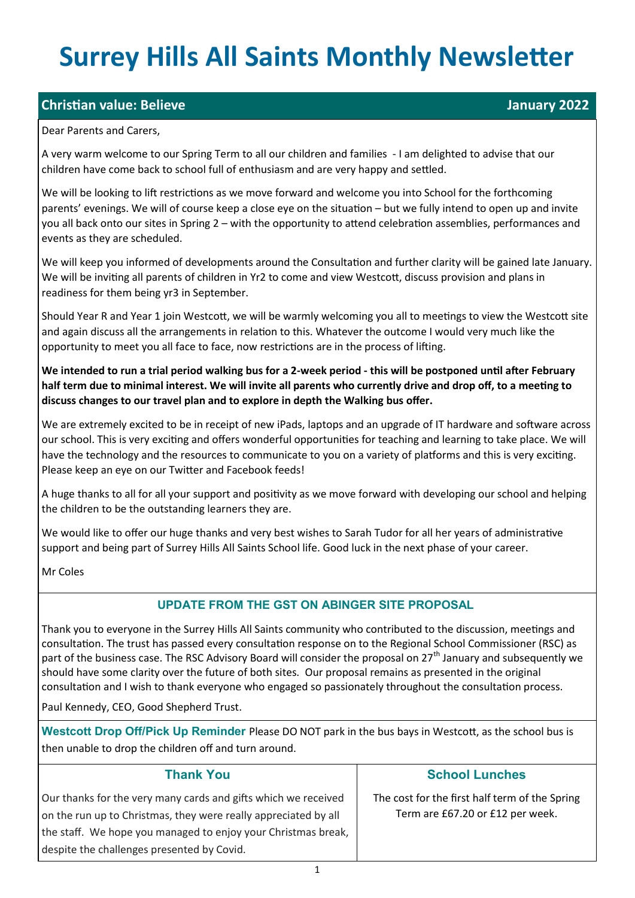# **Surrey Hills All Saints Monthly Newsletter**

## **Christian value: Believe** January 2022

#### Dear Parents and Carers,

A very warm welcome to our Spring Term to all our children and families - I am delighted to advise that our children have come back to school full of enthusiasm and are very happy and settled.

We will be looking to lift restrictions as we move forward and welcome you into School for the forthcoming parents' evenings. We will of course keep a close eye on the situation – but we fully intend to open up and invite you all back onto our sites in Spring 2 – with the opportunity to attend celebration assemblies, performances and events as they are scheduled.

We will keep you informed of developments around the Consultation and further clarity will be gained late January. We will be inviting all parents of children in Yr2 to come and view Westcott, discuss provision and plans in readiness for them being yr3 in September.

Should Year R and Year 1 join Westcott, we will be warmly welcoming you all to meetings to view the Westcott site and again discuss all the arrangements in relation to this. Whatever the outcome I would very much like the opportunity to meet you all face to face, now restrictions are in the process of lifting.

**We intended to run a trial period walking bus for a 2-week period - this will be postponed until after February half term due to minimal interest. We will invite all parents who currently drive and drop off, to a meeting to discuss changes to our travel plan and to explore in depth the Walking bus offer.**

We are extremely excited to be in receipt of new iPads, laptops and an upgrade of IT hardware and software across our school. This is very exciting and offers wonderful opportunities for teaching and learning to take place. We will have the technology and the resources to communicate to you on a variety of platforms and this is very exciting. Please keep an eye on our Twitter and Facebook feeds!

A huge thanks to all for all your support and positivity as we move forward with developing our school and helping the children to be the outstanding learners they are.

We would like to offer our huge thanks and very best wishes to Sarah Tudor for all her years of administrative support and being part of Surrey Hills All Saints School life. Good luck in the next phase of your career.

Mr Coles

### **UPDATE FROM THE GST ON ABINGER SITE PROPOSAL**

Thank you to everyone in the Surrey Hills All Saints community who contributed to the discussion, meetings and consultation. The trust has passed every consultation response on to the Regional School Commissioner (RSC) as part of the business case. The RSC Advisory Board will consider the proposal on  $27<sup>th</sup>$  January and subsequently we should have some clarity over the future of both sites. Our proposal remains as presented in the original consultation and I wish to thank everyone who engaged so passionately throughout the consultation process.

Paul Kennedy, CEO, Good Shepherd Trust.

**Westcott Drop Off/Pick Up Reminder** Please DO NOT park in the bus bays in Westcott, as the school bus is then unable to drop the children off and turn around.

| <b>Thank You</b>                                                                                                                                                                                                                                 | <b>School Lunches</b>                                                              |
|--------------------------------------------------------------------------------------------------------------------------------------------------------------------------------------------------------------------------------------------------|------------------------------------------------------------------------------------|
| Our thanks for the very many cards and gifts which we received<br>on the run up to Christmas, they were really appreciated by all<br>the staff. We hope you managed to enjoy your Christmas break,<br>despite the challenges presented by Covid. | The cost for the first half term of the Spring<br>Term are £67.20 or £12 per week. |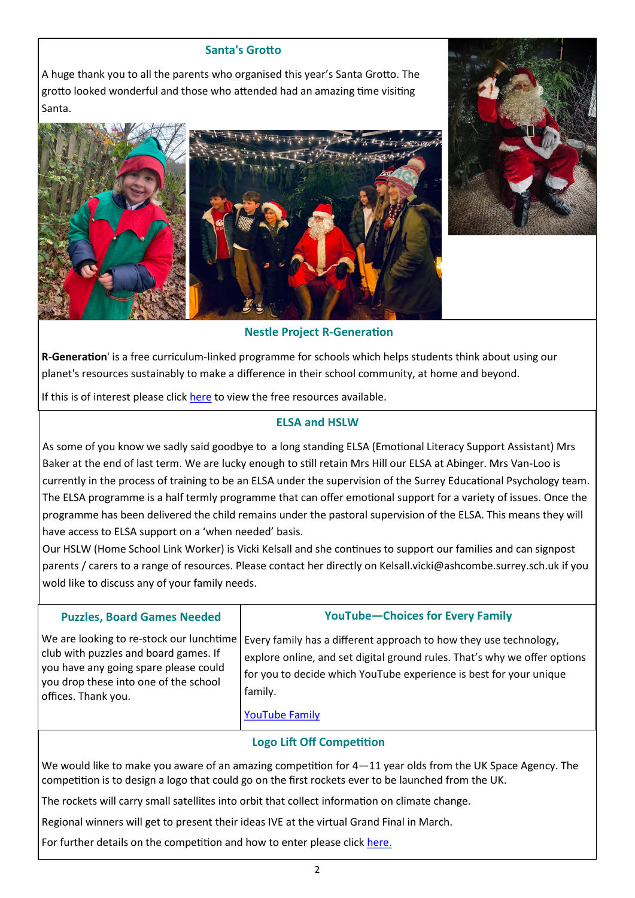#### **Santa's Grotto**

A huge thank you to all the parents who organised this year's Santa Grotto. The grotto looked wonderful and those who attended had an amazing time visiting Santa.





#### **Nestle Project R-Generation**

**R-Generation**' is a free curriculum-linked programme for schools which helps students think about using our planet's resources sustainably to make a difference in their school community, at home and beyond.

If this is of interest please click [here](https://r-generation.co.uk/) to view the free resources available.

#### **ELSA and HSLW**

As some of you know we sadly said goodbye to a long standing ELSA (Emotional Literacy Support Assistant) Mrs Baker at the end of last term. We are lucky enough to still retain Mrs Hill our ELSA at Abinger. Mrs Van-Loo is currently in the process of training to be an ELSA under the supervision of the Surrey Educational Psychology team. The ELSA programme is a half termly programme that can offer emotional support for a variety of issues. Once the programme has been delivered the child remains under the pastoral supervision of the ELSA. This means they will have access to ELSA support on a 'when needed' basis.

Our HSLW (Home School Link Worker) is Vicki Kelsall and she continues to support our families and can signpost parents / carers to a range of resources. Please contact her directly on Kelsall.vicki@ashcombe.surrey.sch.uk if you wold like to discuss any of your family needs.

| <b>Puzzles, Board Games Needed</b>       | <b>YouTube-Choices for Every Family</b>                                   |
|------------------------------------------|---------------------------------------------------------------------------|
| We are looking to re-stock our lunchtime | Every family has a different approach to how they use technology,         |
| club with puzzles and board games. If    | explore online, and set digital ground rules. That's why we offer options |
| you have any going spare please could    | for you to decide which YouTube experience is best for your unique        |
| you drop these into one of the school    | family.                                                                   |
| offices. Thank you.                      | <b>YouTube Family</b>                                                     |

#### **Logo Lift Off Competition**

We would like to make you aware of an amazing competition for 4–11 year olds from the UK Space Agency. The competition is to design a logo that could go on the first rockets ever to be launched from the UK.

The rockets will carry small satellites into orbit that collect information on climate change.

Regional winners will get to present their ideas IVE at the virtual Grand Final in March.

For further details on the competition and how to enter please click [here.](https://www.logoliftoff.org.uk/?utm_source=EM&utm_medium=EM&utm_campaign=HS_UKSA_Logo_Email_websitebutton&utm_term=HS_SE&utm_content=hs_te&gator_td=zkRNQPxTgwPKt0qQCXuADUuLob1z5F3J71uyeJxcxnAg8EZLBhO5BtaPHmNKfQqHTYAHQ8ncfQL0HBcVfMY9Oy9wH%2fntFa54taVoszgi%252)